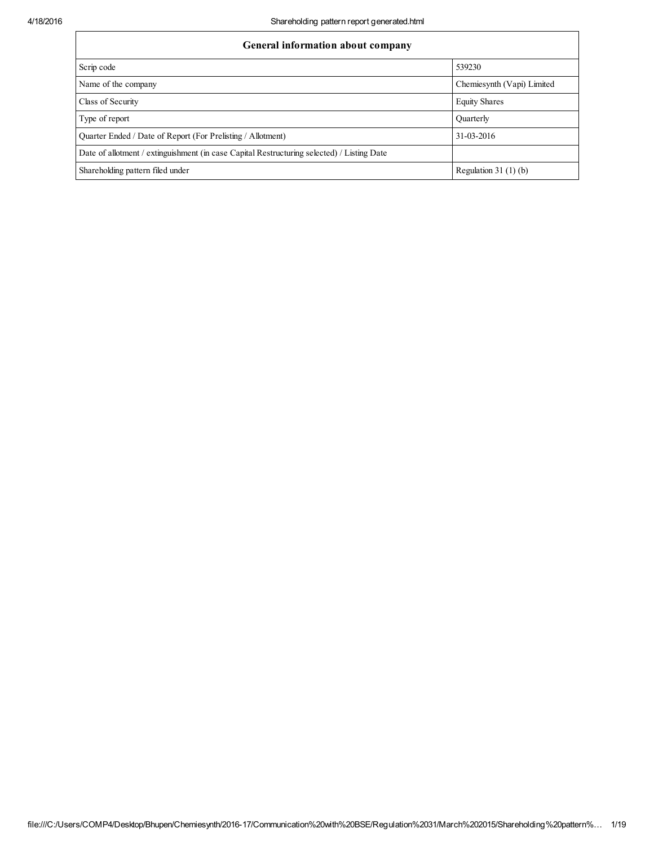| General information about company                                                          |                            |  |  |  |  |  |  |
|--------------------------------------------------------------------------------------------|----------------------------|--|--|--|--|--|--|
| Scrip code                                                                                 | 539230                     |  |  |  |  |  |  |
| Name of the company                                                                        | Chemiesynth (Vapi) Limited |  |  |  |  |  |  |
| Class of Security                                                                          | <b>Equity Shares</b>       |  |  |  |  |  |  |
| Type of report                                                                             | Quarterly                  |  |  |  |  |  |  |
| Quarter Ended / Date of Report (For Prelisting / Allotment)                                | 31-03-2016                 |  |  |  |  |  |  |
| Date of allotment / extinguishment (in case Capital Restructuring selected) / Listing Date |                            |  |  |  |  |  |  |
| Shareholding pattern filed under                                                           | Regulation 31 $(1)(b)$     |  |  |  |  |  |  |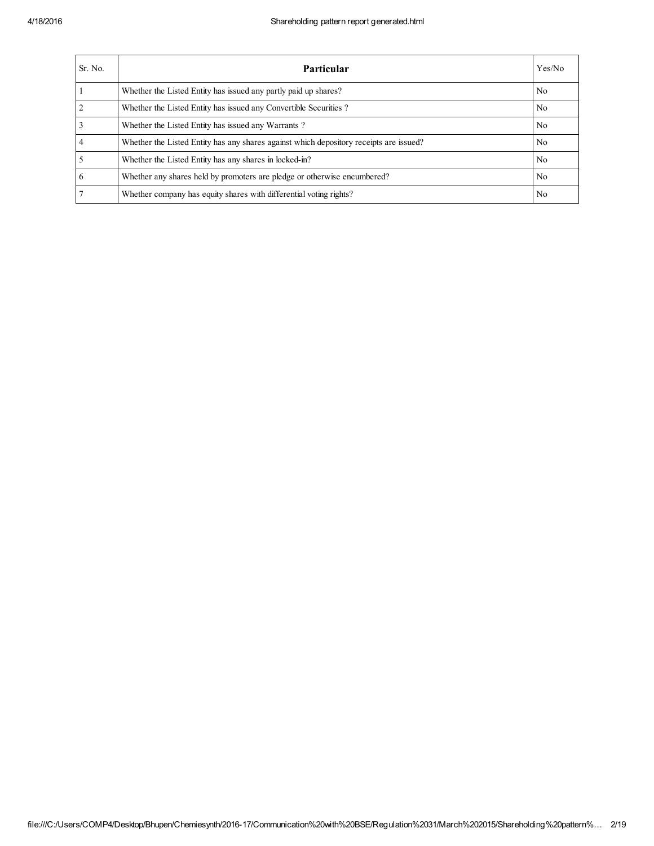| Sr. No.        | <b>Particular</b>                                                                      | Yes/No         |
|----------------|----------------------------------------------------------------------------------------|----------------|
|                | Whether the Listed Entity has issued any partly paid up shares?                        | N <sub>0</sub> |
| $\overline{2}$ | Whether the Listed Entity has issued any Convertible Securities?                       | N <sub>0</sub> |
| 3              | Whether the Listed Entity has issued any Warrants?                                     | N <sub>0</sub> |
| 4              | Whether the Listed Entity has any shares against which depository receipts are issued? | N <sub>0</sub> |
|                | Whether the Listed Entity has any shares in locked-in?                                 | N <sub>o</sub> |
| 6              | Whether any shares held by promoters are pledge or otherwise encumbered?               | N <sub>0</sub> |
|                | Whether company has equity shares with differential voting rights?                     | N <sub>0</sub> |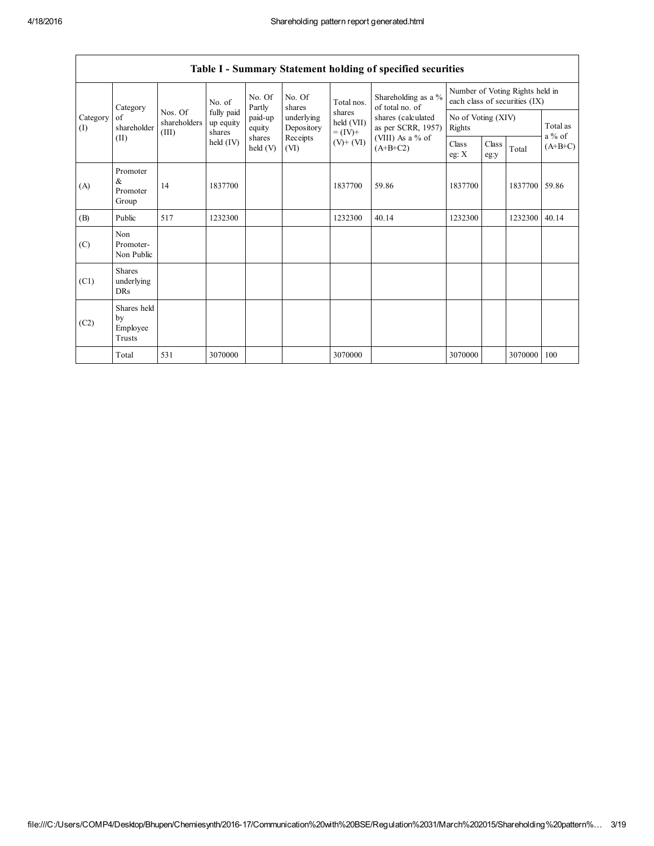$\mathsf{l}$ 

|                               |                                           |                                  |                                   |                    |                          |                                    | Table I - Summary Statement holding of specified securities                                                          |                                                                  |               |         |                       |
|-------------------------------|-------------------------------------------|----------------------------------|-----------------------------------|--------------------|--------------------------|------------------------------------|----------------------------------------------------------------------------------------------------------------------|------------------------------------------------------------------|---------------|---------|-----------------------|
|                               | Category                                  |                                  | No. of                            | No. Of<br>Partly   | No. Of<br>shares         | Total nos.                         | Shareholding as a %<br>of total no. of<br>shares (calculated<br>as per SCRR, 1957)<br>(VIII) As a % of<br>$(A+B+C2)$ | Number of Voting Rights held in<br>each class of securities (IX) |               |         |                       |
| Category<br>of<br>(I)<br>(II) | shareholder                               | Nos. Of<br>shareholders<br>(III) | fully paid<br>up equity<br>shares | paid-up<br>equity  | underlying<br>Depository | shares<br>held (VII)<br>$= (IV) +$ |                                                                                                                      | No of Voting (XIV)<br>Rights                                     |               |         | Total as              |
|                               |                                           |                                  | $\text{held (IV)}$                | shares<br>held (V) | Receipts<br>(VI)         | $(V)$ + $(VI)$                     |                                                                                                                      | Class<br>eg: $X$                                                 | Class<br>eg:y | Total   | $a\%$ of<br>$(A+B+C)$ |
| (A)                           | Promoter<br>$\alpha$<br>Promoter<br>Group | 14                               | 1837700                           |                    |                          | 1837700                            | 59.86                                                                                                                | 1837700                                                          |               | 1837700 | 59.86                 |
| (B)                           | Public                                    | 517                              | 1232300                           |                    |                          | 1232300                            | 40.14                                                                                                                | 1232300                                                          |               | 1232300 | 40.14                 |
| (C)                           | Non<br>Promoter-<br>Non Public            |                                  |                                   |                    |                          |                                    |                                                                                                                      |                                                                  |               |         |                       |
| (C1)                          | <b>Shares</b><br>underlying<br><b>DRs</b> |                                  |                                   |                    |                          |                                    |                                                                                                                      |                                                                  |               |         |                       |
| (C2)                          | Shares held<br>by<br>Employee<br>Trusts   |                                  |                                   |                    |                          |                                    |                                                                                                                      |                                                                  |               |         |                       |
|                               | Total                                     | 531                              | 3070000                           |                    |                          | 3070000                            |                                                                                                                      | 3070000                                                          |               | 3070000 | 100                   |

## Table I - Summary Statement holding of specified securities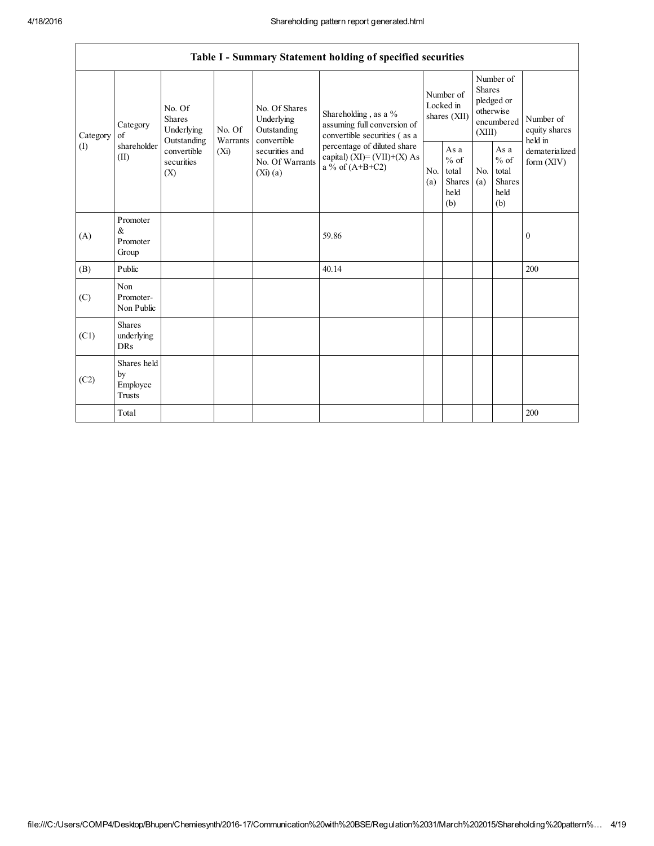$\mathsf{r}$ 

|                 |                                                |                                                                                   |                    |                                                                                                                | Table I - Summary Statement holding of specified securities                                                                                                               |                                        |                                                         |                                                                               |                                                  |                                       |
|-----------------|------------------------------------------------|-----------------------------------------------------------------------------------|--------------------|----------------------------------------------------------------------------------------------------------------|---------------------------------------------------------------------------------------------------------------------------------------------------------------------------|----------------------------------------|---------------------------------------------------------|-------------------------------------------------------------------------------|--------------------------------------------------|---------------------------------------|
| Category<br>(I) | Category<br>of<br>shareholder<br>(II)          | No. Of<br>Shares<br>Underlying<br>Outstanding<br>convertible<br>securities<br>(X) | No. Of<br>Warrants | No. Of Shares<br>Underlying<br>Outstanding<br>convertible<br>securities and<br>No. Of Warrants<br>$(Xi)$ $(a)$ | Shareholding, as a %<br>assuming full conversion of<br>convertible securities (as a<br>percentage of diluted share<br>capital) $(XI) = (VII)+(X) As$<br>a % of $(A+B+C2)$ | Number of<br>Locked in<br>shares (XII) |                                                         | Number of<br><b>Shares</b><br>pledged or<br>otherwise<br>encumbered<br>(XIII) |                                                  | Number of<br>equity shares<br>held in |
|                 |                                                |                                                                                   | (Xi)               |                                                                                                                |                                                                                                                                                                           | N <sub>0</sub><br>(a)                  | As a<br>$%$ of<br>total<br><b>Shares</b><br>held<br>(b) | N <sub>0</sub><br>(a)                                                         | As a<br>$%$ of<br>total<br>Shares<br>held<br>(b) | dematerialized<br>form $(XIV)$        |
| (A)             | Promoter<br>$\&$<br>Promoter<br>Group          |                                                                                   |                    |                                                                                                                | 59.86                                                                                                                                                                     |                                        |                                                         |                                                                               |                                                  | $\boldsymbol{0}$                      |
| (B)             | Public                                         |                                                                                   |                    |                                                                                                                | 40.14                                                                                                                                                                     |                                        |                                                         |                                                                               |                                                  | 200                                   |
| (C)             | Non<br>Promoter-<br>Non Public                 |                                                                                   |                    |                                                                                                                |                                                                                                                                                                           |                                        |                                                         |                                                                               |                                                  |                                       |
| (C1)            | <b>Shares</b><br>underlying<br><b>DRs</b>      |                                                                                   |                    |                                                                                                                |                                                                                                                                                                           |                                        |                                                         |                                                                               |                                                  |                                       |
| (C2)            | Shares held<br>by<br>Employee<br><b>Trusts</b> |                                                                                   |                    |                                                                                                                |                                                                                                                                                                           |                                        |                                                         |                                                                               |                                                  |                                       |
|                 | Total                                          |                                                                                   |                    |                                                                                                                |                                                                                                                                                                           |                                        |                                                         |                                                                               |                                                  | 200                                   |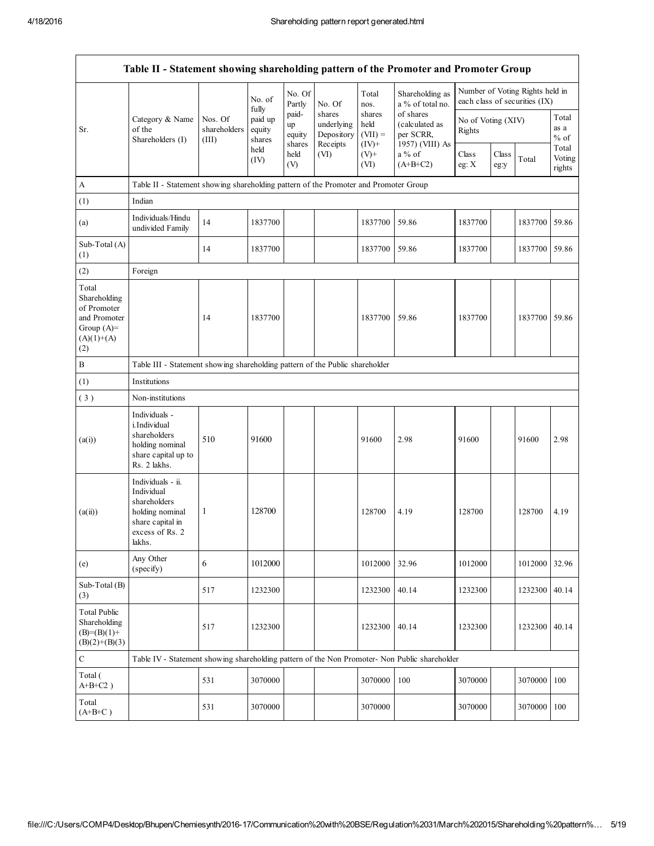|                                                                                             | Table II - Statement showing shareholding pattern of the Promoter and Promoter Group                                |                                                                              |                             |                                 |                                                |                                         |                                                             |                              |               |                                                                  |                           |
|---------------------------------------------------------------------------------------------|---------------------------------------------------------------------------------------------------------------------|------------------------------------------------------------------------------|-----------------------------|---------------------------------|------------------------------------------------|-----------------------------------------|-------------------------------------------------------------|------------------------------|---------------|------------------------------------------------------------------|---------------------------|
|                                                                                             |                                                                                                                     |                                                                              | No. of<br>fully             | No. Of<br>Partly                | No. Of                                         | Total<br>nos.                           | Shareholding as<br>a % of total no.                         |                              |               | Number of Voting Rights held in<br>each class of securities (IX) |                           |
| Sr.                                                                                         | Category & Name<br>of the<br>Shareholders (I)                                                                       | Nos. Of<br>shareholders<br>(III)                                             | paid up<br>equity<br>shares | paid-<br>up<br>equity<br>shares | shares<br>underlying<br>Depository<br>Receipts | shares<br>held<br>$(VII) =$<br>$(IV)^+$ | of shares<br>(calculated as<br>per SCRR,<br>1957) (VIII) As | No of Voting (XIV)<br>Rights |               |                                                                  | Total<br>as a<br>$%$ of   |
|                                                                                             |                                                                                                                     |                                                                              | held<br>(IV)                | held<br>(V)                     | (VI)                                           | $(V)+$<br>(VI)                          | a % of<br>$(A+B+C2)$                                        | Class<br>eg: X               | Class<br>eg:y | Total                                                            | Total<br>Voting<br>rights |
| A                                                                                           | Table II - Statement showing shareholding pattern of the Promoter and Promoter Group                                |                                                                              |                             |                                 |                                                |                                         |                                                             |                              |               |                                                                  |                           |
| (1)                                                                                         | Indian                                                                                                              |                                                                              |                             |                                 |                                                |                                         |                                                             |                              |               |                                                                  |                           |
| (a)                                                                                         | Individuals/Hindu<br>undivided Family                                                                               | 14                                                                           | 1837700                     |                                 |                                                | 1837700                                 | 59.86                                                       | 1837700                      |               | 1837700                                                          | 59.86                     |
| Sub-Total (A)<br>(1)                                                                        |                                                                                                                     | 14                                                                           | 1837700                     |                                 |                                                | 1837700                                 | 59.86                                                       | 1837700                      |               | 1837700 59.86                                                    |                           |
| (2)                                                                                         | Foreign                                                                                                             |                                                                              |                             |                                 |                                                |                                         |                                                             |                              |               |                                                                  |                           |
| Total<br>Shareholding<br>of Promoter<br>and Promoter<br>Group $(A)=$<br>$(A)(1)+(A)$<br>(2) |                                                                                                                     | 14                                                                           | 1837700                     |                                 |                                                | 1837700                                 | 59.86                                                       | 1837700                      |               | 1837700 59.86                                                    |                           |
| $\, {\bf B}$                                                                                |                                                                                                                     | Table III - Statement showing shareholding pattern of the Public shareholder |                             |                                 |                                                |                                         |                                                             |                              |               |                                                                  |                           |
| (1)                                                                                         | Institutions                                                                                                        |                                                                              |                             |                                 |                                                |                                         |                                                             |                              |               |                                                                  |                           |
| (3)                                                                                         | Non-institutions                                                                                                    |                                                                              |                             |                                 |                                                |                                         |                                                             |                              |               |                                                                  |                           |
| (a(i))                                                                                      | Individuals -<br>i.Individual<br>shareholders<br>holding nominal<br>share capital up to<br>Rs. 2 lakhs.             | 510                                                                          | 91600                       |                                 |                                                | 91600                                   | 2.98                                                        | 91600                        |               | 91600                                                            | 2.98                      |
| (a(ii))                                                                                     | Individuals - ii.<br>Individual<br>shareholders<br>holding nominal<br>share capital in<br>excess of Rs. 2<br>lakhs. | 1                                                                            | 128700                      |                                 |                                                | 128700                                  | 4.19                                                        | 128700                       |               | 128700                                                           | 4.19                      |
| (e)                                                                                         | Any Other<br>(specify)                                                                                              | 6                                                                            | 1012000                     |                                 |                                                | 1012000                                 | 32.96                                                       | 1012000                      |               | 1012000                                                          | 32.96                     |
| $Sub-Total(B)$<br>(3)                                                                       |                                                                                                                     | 517                                                                          | 1232300                     |                                 |                                                | 1232300                                 | 40.14                                                       | 1232300                      |               | 1232300                                                          | 40.14                     |
| <b>Total Public</b><br>Shareholding<br>$(B)=(B)(1)+$<br>$(B)(2)+(B)(3)$                     |                                                                                                                     | 517                                                                          | 1232300                     |                                 |                                                | 1232300                                 | 40.14                                                       | 1232300                      |               | 1232300                                                          | 40.14                     |
| ${\bf C}$                                                                                   | Table IV - Statement showing shareholding pattern of the Non Promoter- Non Public shareholder                       |                                                                              |                             |                                 |                                                |                                         |                                                             |                              |               |                                                                  |                           |
| Total (<br>$A+B+C2$ )                                                                       |                                                                                                                     | 531                                                                          | 3070000                     |                                 |                                                | 3070000                                 | 100                                                         | 3070000                      |               | 3070000                                                          | 100                       |
| Total<br>$(A+B+C)$                                                                          |                                                                                                                     | 531                                                                          | 3070000                     |                                 |                                                | 3070000                                 |                                                             | 3070000                      |               | 3070000                                                          | 100                       |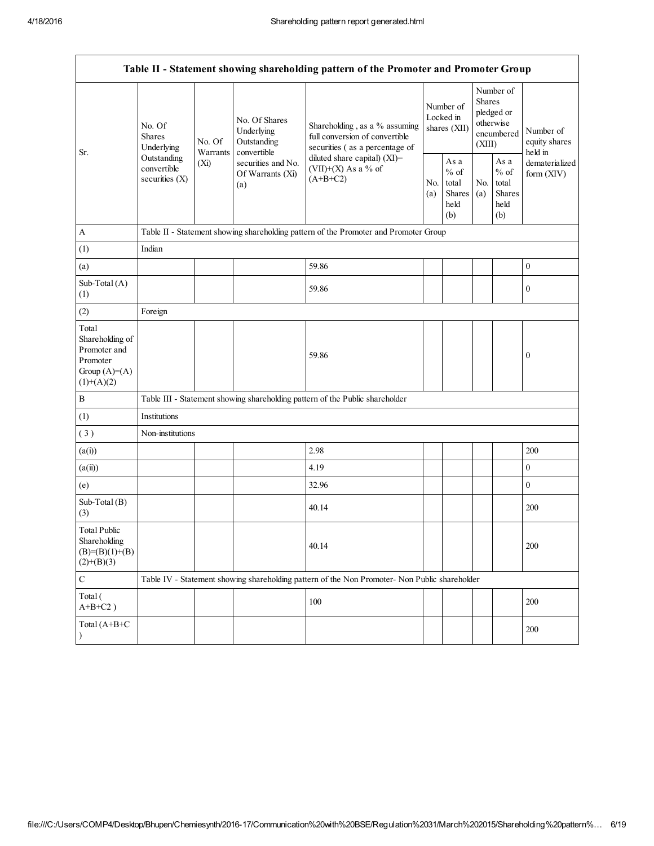| Table II - Statement showing shareholding pattern of the Promoter and Promoter Group   |                                                                                         |                                                                                      |                                                           |                                                                                                   |                                        |                                                  |                                                                               |                                                  |                                       |  |
|----------------------------------------------------------------------------------------|-----------------------------------------------------------------------------------------|--------------------------------------------------------------------------------------|-----------------------------------------------------------|---------------------------------------------------------------------------------------------------|----------------------------------------|--------------------------------------------------|-------------------------------------------------------------------------------|--------------------------------------------------|---------------------------------------|--|
| Sr.                                                                                    | No. Of<br><b>Shares</b><br>Underlying<br>Outstanding<br>convertible<br>securities $(X)$ | No. Of                                                                               | No. Of Shares<br>Underlying<br>Outstanding<br>convertible | Shareholding, as a % assuming<br>full conversion of convertible<br>securities (as a percentage of | Number of<br>Locked in<br>shares (XII) |                                                  | Number of<br><b>Shares</b><br>pledged or<br>otherwise<br>encumbered<br>(XIII) |                                                  | Number of<br>equity shares<br>held in |  |
|                                                                                        |                                                                                         | Warrants<br>(Xi)                                                                     | securities and No.<br>Of Warrants (Xi)<br>(a)             | diluted share capital) (XI)=<br>$(VII)+(X)$ As a % of<br>$(A+B+C2)$                               | No.<br>(a)                             | As a<br>$%$ of<br>total<br>Shares<br>held<br>(b) | No.<br>(a)                                                                    | As a<br>$%$ of<br>total<br>Shares<br>held<br>(b) | dematerialized<br>form (XIV)          |  |
| $\mathbf{A}$                                                                           |                                                                                         | Table II - Statement showing shareholding pattern of the Promoter and Promoter Group |                                                           |                                                                                                   |                                        |                                                  |                                                                               |                                                  |                                       |  |
| (1)                                                                                    | Indian                                                                                  |                                                                                      |                                                           |                                                                                                   |                                        |                                                  |                                                                               |                                                  |                                       |  |
| (a)                                                                                    |                                                                                         |                                                                                      |                                                           | 59.86                                                                                             |                                        |                                                  |                                                                               |                                                  | $\boldsymbol{0}$                      |  |
| Sub-Total (A)<br>(1)                                                                   |                                                                                         |                                                                                      |                                                           | 59.86                                                                                             |                                        |                                                  |                                                                               |                                                  | $\boldsymbol{0}$                      |  |
| (2)                                                                                    | Foreign                                                                                 |                                                                                      |                                                           |                                                                                                   |                                        |                                                  |                                                                               |                                                  |                                       |  |
| Total<br>Shareholding of<br>Promoter and<br>Promoter<br>Group $(A)=A)$<br>$(1)+(A)(2)$ |                                                                                         |                                                                                      |                                                           | 59.86                                                                                             |                                        |                                                  |                                                                               |                                                  | $\boldsymbol{0}$                      |  |
| $\, {\bf B}$                                                                           |                                                                                         |                                                                                      |                                                           | Table III - Statement showing shareholding pattern of the Public shareholder                      |                                        |                                                  |                                                                               |                                                  |                                       |  |
| (1)                                                                                    | Institutions                                                                            |                                                                                      |                                                           |                                                                                                   |                                        |                                                  |                                                                               |                                                  |                                       |  |
| (3)                                                                                    | Non-institutions                                                                        |                                                                                      |                                                           |                                                                                                   |                                        |                                                  |                                                                               |                                                  |                                       |  |
| (a(i))                                                                                 |                                                                                         |                                                                                      |                                                           | 2.98                                                                                              |                                        |                                                  |                                                                               |                                                  | 200                                   |  |
| (a(ii))                                                                                |                                                                                         |                                                                                      |                                                           | 4.19                                                                                              |                                        |                                                  |                                                                               |                                                  | $\boldsymbol{0}$                      |  |
| (e)                                                                                    |                                                                                         |                                                                                      |                                                           | 32.96                                                                                             |                                        |                                                  |                                                                               |                                                  | $\boldsymbol{0}$                      |  |
| Sub-Total (B)<br>(3)                                                                   |                                                                                         |                                                                                      |                                                           | 40.14                                                                                             |                                        |                                                  |                                                                               |                                                  | 200                                   |  |
| <b>Total Public</b><br>Shareholding<br>$(B)= (B)(1)+(B)$<br>$(2)+(B)(3)$               |                                                                                         |                                                                                      |                                                           | 40.14                                                                                             |                                        |                                                  |                                                                               |                                                  | 200                                   |  |
| $\mathbf C$                                                                            |                                                                                         |                                                                                      |                                                           | Table IV - Statement showing shareholding pattern of the Non Promoter- Non Public shareholder     |                                        |                                                  |                                                                               |                                                  |                                       |  |
| Total (<br>$A+B+C2$ )                                                                  |                                                                                         |                                                                                      |                                                           | 100                                                                                               |                                        |                                                  |                                                                               |                                                  | 200                                   |  |
| Total (A+B+C                                                                           |                                                                                         |                                                                                      |                                                           |                                                                                                   |                                        |                                                  |                                                                               |                                                  | 200                                   |  |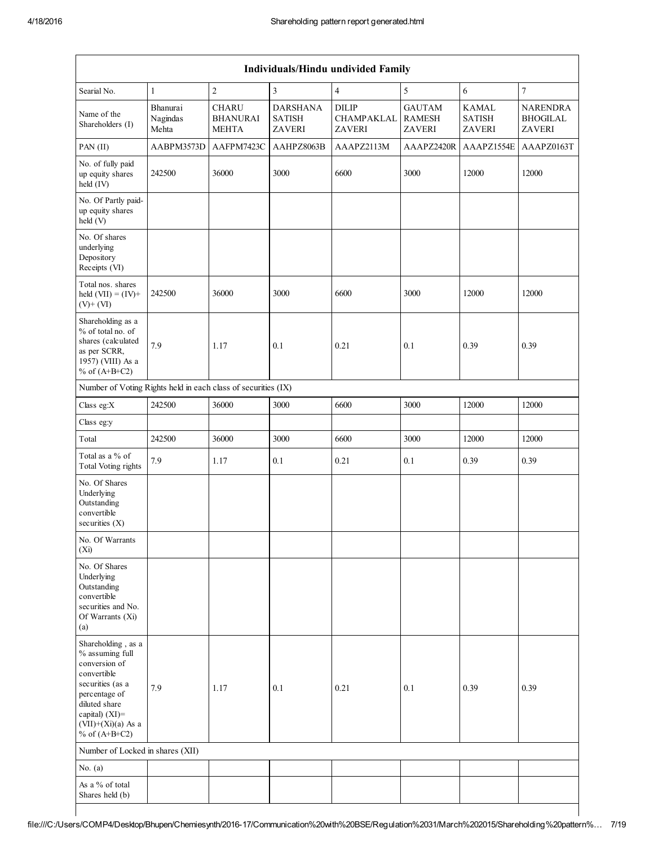| Individuals/Hindu undivided Family                                                                                                                                                          |                               |                                          |                                                   |                                             |                                          |                                                |                                                     |  |
|---------------------------------------------------------------------------------------------------------------------------------------------------------------------------------------------|-------------------------------|------------------------------------------|---------------------------------------------------|---------------------------------------------|------------------------------------------|------------------------------------------------|-----------------------------------------------------|--|
| Searial No.                                                                                                                                                                                 | $\mathbf{1}$                  | $\overline{c}$                           | 3                                                 | $\overline{4}$                              | 5                                        | 6                                              | $\boldsymbol{7}$                                    |  |
| Name of the<br>Shareholders (I)                                                                                                                                                             | Bhanurai<br>Nagindas<br>Mehta | <b>CHARU</b><br><b>BHANURAI</b><br>MEHTA | <b>DARSHANA</b><br><b>SATISH</b><br><b>ZAVERI</b> | <b>DILIP</b><br>CHAMPAKLAL<br><b>ZAVERI</b> | <b>GAUTAM</b><br><b>RAMESH</b><br>ZAVERI | <b>KAMAL</b><br><b>SATISH</b><br><b>ZAVERI</b> | <b>NARENDRA</b><br><b>BHOGILAL</b><br><b>ZAVERI</b> |  |
| PAN (II)                                                                                                                                                                                    | AABPM3573D                    | AAFPM7423C                               | AAHPZ8063B                                        | AAAPZ2113M                                  | AAAPZ2420R                               | AAAPZ1554E                                     | AAAPZ0163T                                          |  |
| No. of fully paid<br>up equity shares<br>held (IV)                                                                                                                                          | 242500                        | 36000                                    | 3000                                              | 6600                                        | 3000                                     | 12000                                          | 12000                                               |  |
| No. Of Partly paid-<br>up equity shares<br>held (V)                                                                                                                                         |                               |                                          |                                                   |                                             |                                          |                                                |                                                     |  |
| No. Of shares<br>underlying<br>Depository<br>Receipts (VI)                                                                                                                                  |                               |                                          |                                                   |                                             |                                          |                                                |                                                     |  |
| Total nos. shares<br>held $(VII) = (IV) +$<br>$(V)$ + $(VI)$                                                                                                                                | 242500                        | 36000                                    | 3000                                              | 6600                                        | 3000                                     | 12000                                          | 12000                                               |  |
| Shareholding as a<br>% of total no. of<br>shares (calculated<br>as per SCRR,<br>1957) (VIII) As a<br>% of $(A+B+C2)$                                                                        | 7.9                           | 1.17                                     | 0.1                                               | 0.21                                        | 0.1                                      | 0.39                                           | 0.39                                                |  |
| Number of Voting Rights held in each class of securities (IX)                                                                                                                               |                               |                                          |                                                   |                                             |                                          |                                                |                                                     |  |
| Class eg:X                                                                                                                                                                                  | 242500                        | 36000                                    | 3000                                              | 6600                                        | 3000                                     | 12000                                          | 12000                                               |  |
| Class eg:y                                                                                                                                                                                  |                               |                                          |                                                   |                                             |                                          |                                                |                                                     |  |
| Total                                                                                                                                                                                       | 242500                        | 36000                                    | 3000                                              | 6600                                        | 3000                                     | 12000                                          | 12000                                               |  |
| Total as a % of<br><b>Total Voting rights</b>                                                                                                                                               | 7.9                           | 1.17                                     | 0.1                                               | 0.21                                        | 0.1                                      | 0.39                                           | 0.39                                                |  |
| No. Of Shares<br>Underlying<br>Outstanding<br>convertible<br>securities $(X)$                                                                                                               |                               |                                          |                                                   |                                             |                                          |                                                |                                                     |  |
| No. Of Warrants<br>$(X_i)$                                                                                                                                                                  |                               |                                          |                                                   |                                             |                                          |                                                |                                                     |  |
| No. Of Shares<br>Underlying<br>Outstanding<br>convertible<br>securities and No.<br>Of Warrants (Xi)<br>(a)                                                                                  |                               |                                          |                                                   |                                             |                                          |                                                |                                                     |  |
| Shareholding, as a<br>% assuming full<br>conversion of<br>convertible<br>securities (as a<br>percentage of<br>diluted share<br>capital) $(XI)$ =<br>$(VII)+(Xi)(a)$ As a<br>% of $(A+B+C2)$ | 7.9                           | 1.17                                     | 0.1                                               | 0.21                                        | 0.1                                      | 0.39                                           | 0.39                                                |  |
| Number of Locked in shares (XII)                                                                                                                                                            |                               |                                          |                                                   |                                             |                                          |                                                |                                                     |  |
| No. $(a)$                                                                                                                                                                                   |                               |                                          |                                                   |                                             |                                          |                                                |                                                     |  |
| As a % of total<br>Shares held (b)                                                                                                                                                          |                               |                                          |                                                   |                                             |                                          |                                                |                                                     |  |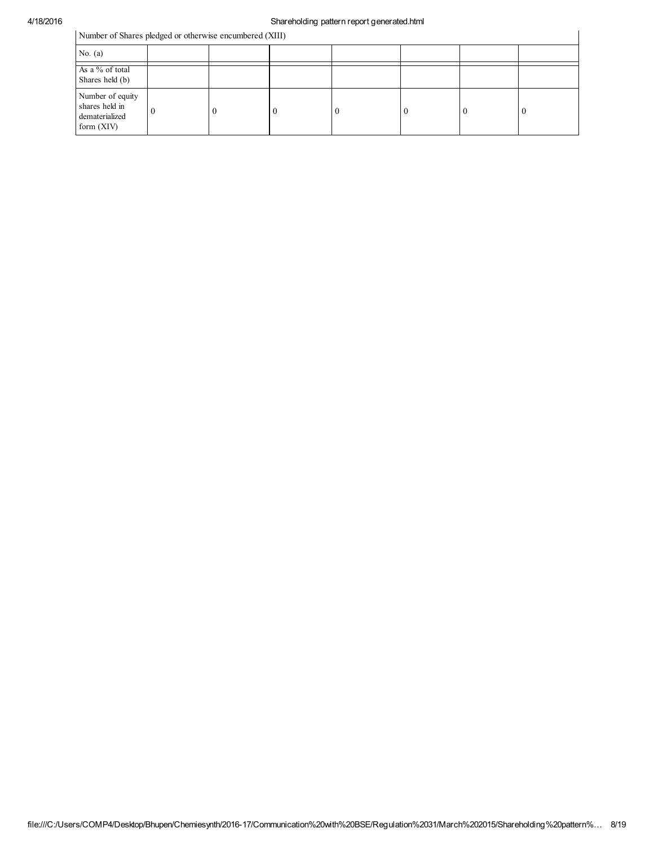## 4/18/2016 Shareholding pattern report generated.html

Number of Shares pledged or otherwise encumbered (XIII)

| Number of Shares pledged or otherwise encumbered (XIII)              |  |  |  |    |  |  |    |
|----------------------------------------------------------------------|--|--|--|----|--|--|----|
| No. $(a)$                                                            |  |  |  |    |  |  |    |
| As a % of total<br>Shares held (b)                                   |  |  |  |    |  |  |    |
| Number of equity<br>shares held in<br>dematerialized<br>form $(XIV)$ |  |  |  | -0 |  |  | -0 |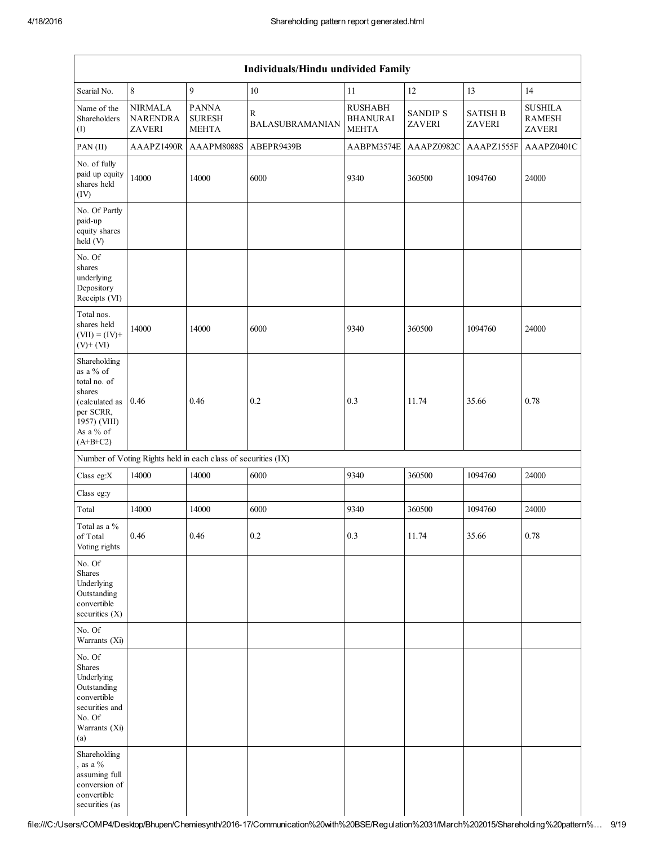|                                                                                                                               | Individuals/Hindu undivided Family          |                                                               |                                        |                                                   |                           |                           |                                           |  |  |
|-------------------------------------------------------------------------------------------------------------------------------|---------------------------------------------|---------------------------------------------------------------|----------------------------------------|---------------------------------------------------|---------------------------|---------------------------|-------------------------------------------|--|--|
| Searial No.                                                                                                                   | $\,8\,$                                     | 9                                                             | 10                                     | 11                                                | 12                        | 13                        | 14                                        |  |  |
| Name of the<br>Shareholders<br>(I)                                                                                            | <b>NIRMALA</b><br><b>NARENDRA</b><br>ZAVERI | <b>PANNA</b><br><b>SURESH</b><br><b>MEHTA</b>                 | $\mathbb{R}$<br><b>BALASUBRAMANIAN</b> | <b>RUSHABH</b><br><b>BHANURAI</b><br><b>MEHTA</b> | <b>SANDIP S</b><br>ZAVERI | <b>SATISH B</b><br>ZAVERI | <b>SUSHILA</b><br><b>RAMESH</b><br>ZAVERI |  |  |
| PAN (II)                                                                                                                      | AAAPZ1490R                                  | AAAPM8088S                                                    | ABEPR9439B                             | AABPM3574E                                        | AAAPZ0982C                | AAAPZ1555F                | AAAPZ0401C                                |  |  |
| No. of fully<br>paid up equity<br>shares held<br>(IV)                                                                         | 14000                                       | 14000                                                         | 6000                                   | 9340                                              | 360500                    | 1094760                   | 24000                                     |  |  |
| No. Of Partly<br>paid-up<br>equity shares<br>held (V)                                                                         |                                             |                                                               |                                        |                                                   |                           |                           |                                           |  |  |
| No. Of<br>shares<br>underlying<br>Depository<br>Receipts (VI)                                                                 |                                             |                                                               |                                        |                                                   |                           |                           |                                           |  |  |
| Total nos.<br>shares held<br>$(VII) = (IV) +$<br>$(V)$ + $(VI)$                                                               | 14000                                       | 14000                                                         | 6000                                   | 9340                                              | 360500                    | 1094760                   | 24000                                     |  |  |
| Shareholding<br>as a % of<br>total no. of<br>shares<br>(calculated as<br>per SCRR,<br>1957) (VIII)<br>As a % of<br>$(A+B+C2)$ | 0.46                                        | 0.46                                                          | 0.2                                    | 0.3                                               | 11.74                     | 35.66                     | 0.78                                      |  |  |
|                                                                                                                               |                                             | Number of Voting Rights held in each class of securities (IX) |                                        |                                                   |                           |                           |                                           |  |  |
| Class eg:X                                                                                                                    | 14000                                       | 14000                                                         | 6000                                   | 9340                                              | 360500                    | 1094760                   | 24000                                     |  |  |
| Class eg:y                                                                                                                    |                                             |                                                               |                                        |                                                   |                           |                           |                                           |  |  |
| Total                                                                                                                         | 14000                                       | 14000                                                         | 6000                                   | 9340                                              | 360500                    | 1094760                   | 24000                                     |  |  |
| Total as a %<br>of Total<br>Voting rights                                                                                     | 0.46                                        | 0.46                                                          | 0.2                                    | 0.3                                               | 11.74                     | 35.66                     | 0.78                                      |  |  |
| No. Of<br>Shares<br>Underlying<br>Outstanding<br>convertible<br>securities (X)                                                |                                             |                                                               |                                        |                                                   |                           |                           |                                           |  |  |
| No. Of<br>Warrants (Xi)                                                                                                       |                                             |                                                               |                                        |                                                   |                           |                           |                                           |  |  |
| No. Of<br>Shares<br>Underlying<br>Outstanding<br>convertible<br>securities and<br>No. Of<br>Warrants (Xi)<br>(a)              |                                             |                                                               |                                        |                                                   |                           |                           |                                           |  |  |
| Shareholding<br>, as a $\%$<br>assuming full<br>conversion of<br>convertible<br>securities (as                                |                                             |                                                               |                                        |                                                   |                           |                           |                                           |  |  |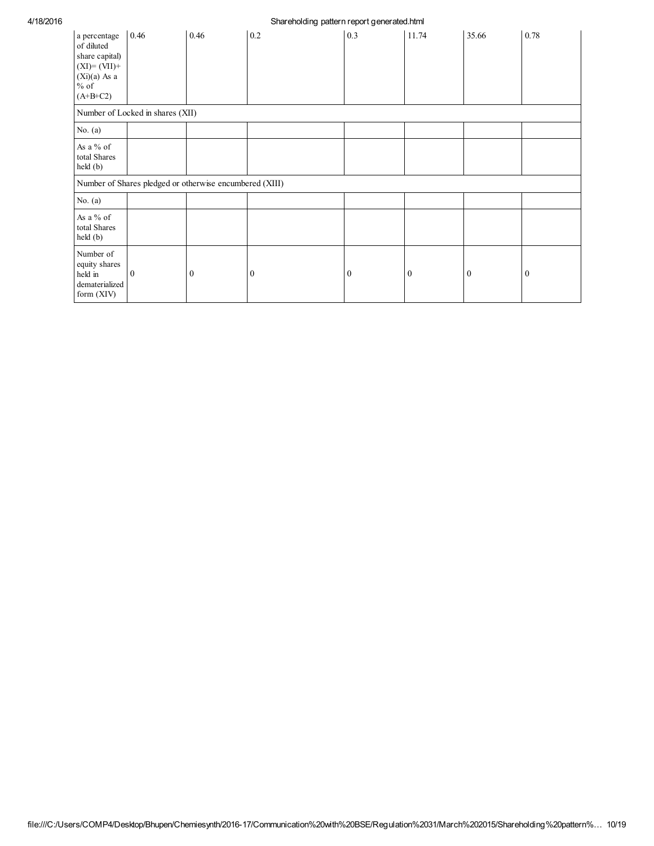## 4/18/2016 Shareholding pattern report generated.html

|                                                                                                          |                                  |                                                         | .            | $-1$<br>.        |                  |                  |              |
|----------------------------------------------------------------------------------------------------------|----------------------------------|---------------------------------------------------------|--------------|------------------|------------------|------------------|--------------|
| a percentage<br>of diluted<br>share capital)<br>$(XI)=(VII)+$<br>$(Xi)(a)$ As a<br>$\%$ of<br>$(A+B+C2)$ | 0.46                             | 0.46                                                    | 0.2          | 0.3              | 11.74            | 35.66            | 0.78         |
|                                                                                                          | Number of Locked in shares (XII) |                                                         |              |                  |                  |                  |              |
| No. $(a)$                                                                                                |                                  |                                                         |              |                  |                  |                  |              |
| As a % of<br>total Shares<br>$\text{held }(\text{b})$                                                    |                                  |                                                         |              |                  |                  |                  |              |
|                                                                                                          |                                  | Number of Shares pledged or otherwise encumbered (XIII) |              |                  |                  |                  |              |
| No. $(a)$                                                                                                |                                  |                                                         |              |                  |                  |                  |              |
| As a % of<br>total Shares<br>$\text{held }(\text{b})$                                                    |                                  |                                                         |              |                  |                  |                  |              |
| Number of<br>equity shares<br>held in<br>dematerialized<br>form $(XIV)$                                  | $\overline{0}$                   | $\mathbf{0}$                                            | $\mathbf{0}$ | $\boldsymbol{0}$ | $\boldsymbol{0}$ | $\boldsymbol{0}$ | $\mathbf{0}$ |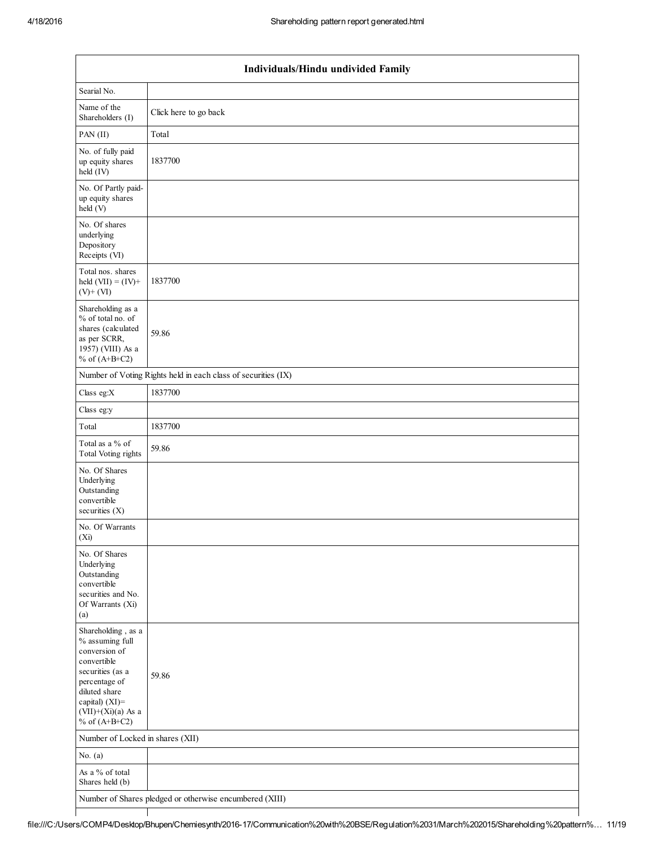$\mathsf I$ 

Τ

|                                                                                                                                                                                             | Individuals/Hindu undivided Family                            |  |  |  |  |  |  |  |  |
|---------------------------------------------------------------------------------------------------------------------------------------------------------------------------------------------|---------------------------------------------------------------|--|--|--|--|--|--|--|--|
| Searial No.                                                                                                                                                                                 |                                                               |  |  |  |  |  |  |  |  |
| Name of the<br>Shareholders (I)                                                                                                                                                             | Click here to go back                                         |  |  |  |  |  |  |  |  |
| PAN (II)                                                                                                                                                                                    | Total                                                         |  |  |  |  |  |  |  |  |
| No. of fully paid<br>up equity shares<br>held (IV)                                                                                                                                          | 1837700                                                       |  |  |  |  |  |  |  |  |
| No. Of Partly paid-<br>up equity shares<br>held (V)                                                                                                                                         |                                                               |  |  |  |  |  |  |  |  |
| No. Of shares<br>underlying<br>Depository<br>Receipts (VI)                                                                                                                                  |                                                               |  |  |  |  |  |  |  |  |
| Total nos. shares<br>held $(VII) = (IV) +$<br>$(V)$ + $(VI)$                                                                                                                                | 1837700                                                       |  |  |  |  |  |  |  |  |
| Shareholding as a<br>% of total no. of<br>shares (calculated<br>as per SCRR,<br>1957) (VIII) As a<br>% of $(A+B+C2)$                                                                        | 59.86                                                         |  |  |  |  |  |  |  |  |
|                                                                                                                                                                                             | Number of Voting Rights held in each class of securities (IX) |  |  |  |  |  |  |  |  |
| Class eg: $X$                                                                                                                                                                               | 1837700                                                       |  |  |  |  |  |  |  |  |
| Class eg:y                                                                                                                                                                                  |                                                               |  |  |  |  |  |  |  |  |
| Total                                                                                                                                                                                       | 1837700                                                       |  |  |  |  |  |  |  |  |
| Total as a % of<br><b>Total Voting rights</b>                                                                                                                                               | 59.86                                                         |  |  |  |  |  |  |  |  |
| No. Of Shares<br>Underlying<br>Outstanding<br>convertible<br>securities $(X)$                                                                                                               |                                                               |  |  |  |  |  |  |  |  |
| No. Of Warrants<br>(Xi)                                                                                                                                                                     |                                                               |  |  |  |  |  |  |  |  |
| No. Of Shares<br>Underlying<br>Outstanding<br>convertible<br>securities and No.<br>Of Warrants (Xi)<br>(a)                                                                                  |                                                               |  |  |  |  |  |  |  |  |
| Shareholding, as a<br>% assuming full<br>conversion of<br>convertible<br>securities (as a<br>percentage of<br>diluted share<br>capital) $(XI)$ =<br>$(VII)+(Xi)(a)$ As a<br>% of $(A+B+C2)$ | 59.86                                                         |  |  |  |  |  |  |  |  |
| Number of Locked in shares (XII)                                                                                                                                                            |                                                               |  |  |  |  |  |  |  |  |
| No. $(a)$                                                                                                                                                                                   |                                                               |  |  |  |  |  |  |  |  |
| As a % of total<br>Shares held (b)                                                                                                                                                          |                                                               |  |  |  |  |  |  |  |  |
| Number of Shares pledged or otherwise encumbered (XIII)                                                                                                                                     |                                                               |  |  |  |  |  |  |  |  |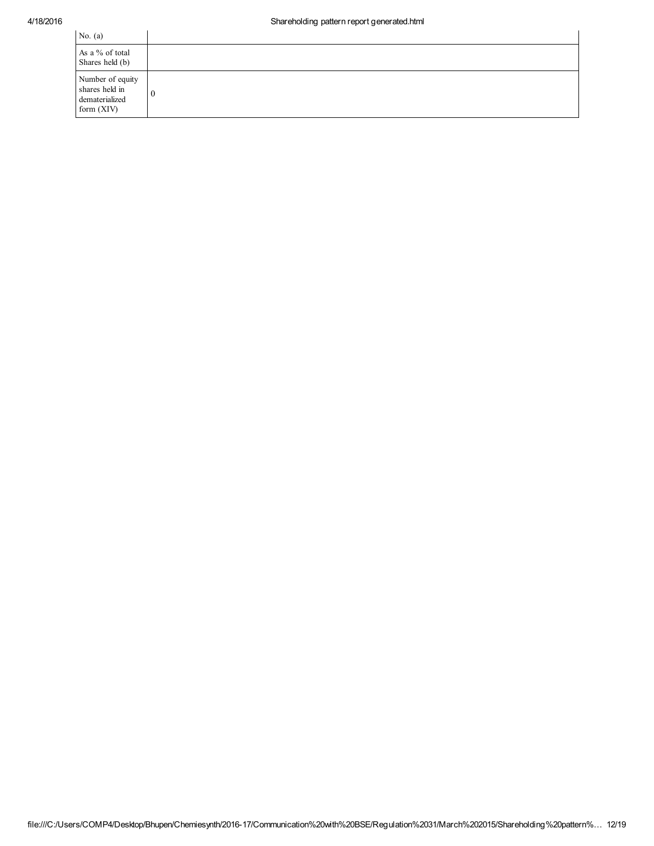| No. $(a)$                                                            |                |
|----------------------------------------------------------------------|----------------|
| As a % of total<br>Shares held (b)                                   |                |
| Number of equity<br>shares held in<br>dematerialized<br>form $(XIV)$ | $\overline{0}$ |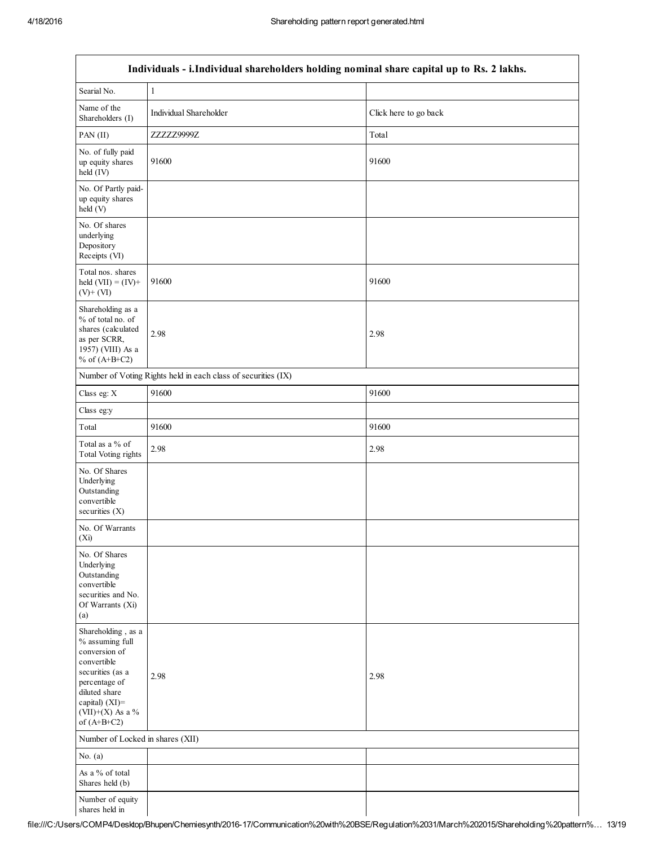| Individuals - i.Individual shareholders holding nominal share capital up to Rs. 2 lakhs.                                                                                           |                                                               |                       |  |  |  |
|------------------------------------------------------------------------------------------------------------------------------------------------------------------------------------|---------------------------------------------------------------|-----------------------|--|--|--|
| Searial No.                                                                                                                                                                        | $\,1\,$                                                       |                       |  |  |  |
| Name of the<br>Shareholders (I)                                                                                                                                                    | Individual Shareholder                                        | Click here to go back |  |  |  |
| PAN (II)                                                                                                                                                                           | ZZZZZ9999Z                                                    | Total                 |  |  |  |
| No. of fully paid<br>up equity shares<br>held (IV)                                                                                                                                 | 91600                                                         | 91600                 |  |  |  |
| No. Of Partly paid-<br>up equity shares<br>held (V)                                                                                                                                |                                                               |                       |  |  |  |
| No. Of shares<br>underlying<br>Depository<br>Receipts (VI)                                                                                                                         |                                                               |                       |  |  |  |
| Total nos. shares<br>held $(VII) = (IV) +$<br>$(V)$ + $(VI)$                                                                                                                       | 91600                                                         | 91600                 |  |  |  |
| Shareholding as a<br>% of total no. of<br>shares (calculated<br>as per SCRR,<br>1957) (VIII) As a<br>% of $(A+B+C2)$                                                               | 2.98                                                          | 2.98                  |  |  |  |
|                                                                                                                                                                                    | Number of Voting Rights held in each class of securities (IX) |                       |  |  |  |
| Class eg: X                                                                                                                                                                        | 91600                                                         | 91600                 |  |  |  |
| Class eg:y                                                                                                                                                                         |                                                               |                       |  |  |  |
| Total                                                                                                                                                                              | 91600                                                         | 91600                 |  |  |  |
| Total as a $\%$ of<br><b>Total Voting rights</b>                                                                                                                                   | 2.98                                                          | 2.98                  |  |  |  |
| No. Of Shares<br>Underlying<br>Outstanding<br>convertible<br>securities $(X)$                                                                                                      |                                                               |                       |  |  |  |
| No. Of Warrants<br>$(X_i)$                                                                                                                                                         |                                                               |                       |  |  |  |
| No. Of Shares<br>Underlying<br>Outstanding<br>convertible<br>securities and No.<br>Of Warrants (Xi)<br>(a)                                                                         |                                                               |                       |  |  |  |
| Shareholding, as a<br>% assuming full<br>conversion of<br>convertible<br>securities (as a<br>percentage of<br>diluted share<br>capital) (XI)=<br>(VII)+(X) As a %<br>of $(A+B+C2)$ | 2.98                                                          | 2.98                  |  |  |  |
| Number of Locked in shares (XII)                                                                                                                                                   |                                                               |                       |  |  |  |
| No. $(a)$                                                                                                                                                                          |                                                               |                       |  |  |  |
| As a % of total<br>Shares held (b)                                                                                                                                                 |                                                               |                       |  |  |  |
| Number of equity<br>shares held in                                                                                                                                                 |                                                               |                       |  |  |  |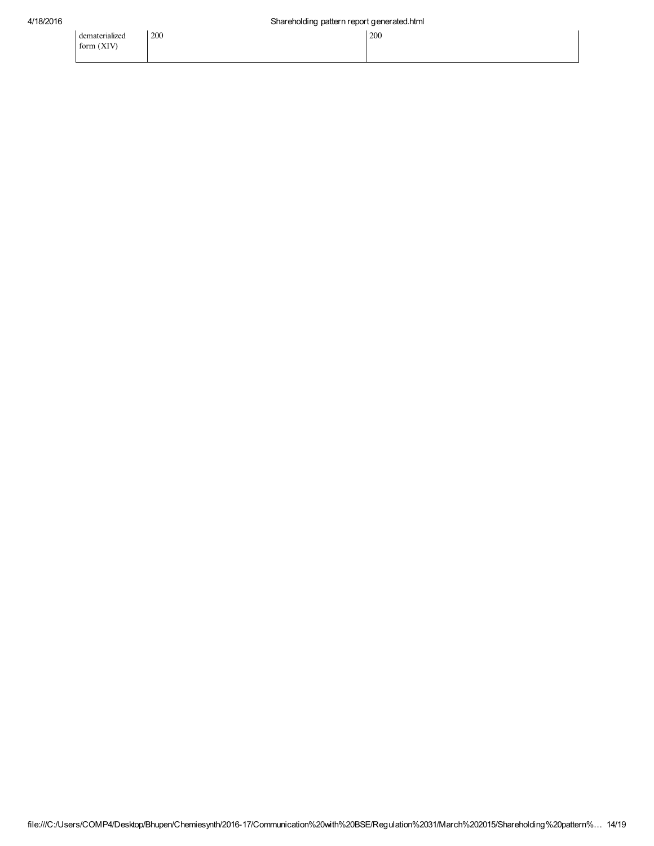dematerialized form (XIV)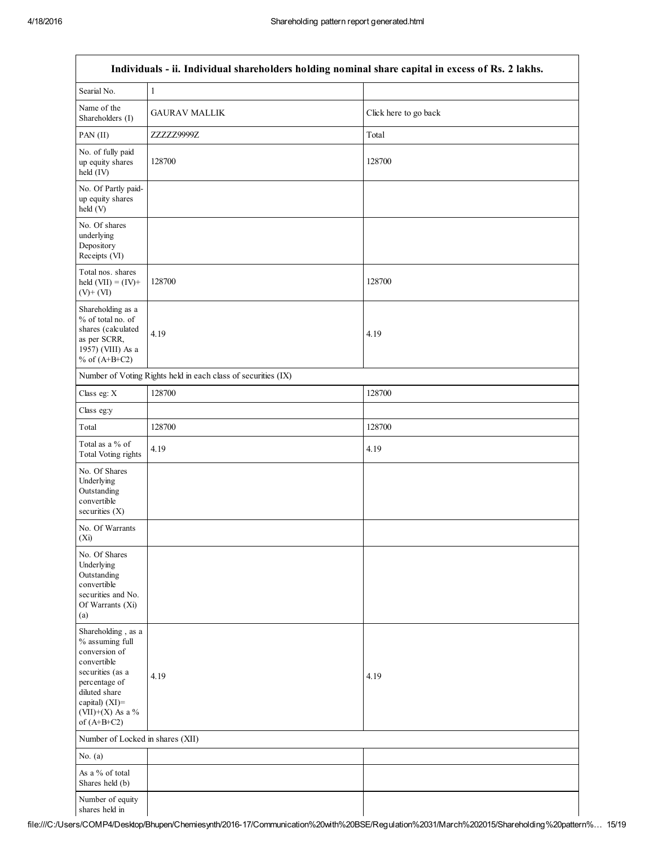Г

| Individuals - ii. Individual shareholders holding nominal share capital in excess of Rs. 2 lakhs.                                                                                     |                                                               |                       |  |  |  |
|---------------------------------------------------------------------------------------------------------------------------------------------------------------------------------------|---------------------------------------------------------------|-----------------------|--|--|--|
| Searial No.                                                                                                                                                                           | $\,1\,$                                                       |                       |  |  |  |
| Name of the<br>Shareholders (I)                                                                                                                                                       | <b>GAURAV MALLIK</b>                                          | Click here to go back |  |  |  |
| PAN (II)                                                                                                                                                                              | ZZZZZ9999Z                                                    | Total                 |  |  |  |
| No. of fully paid<br>up equity shares<br>held (IV)                                                                                                                                    | 128700                                                        | 128700                |  |  |  |
| No. Of Partly paid-<br>up equity shares<br>held (V)                                                                                                                                   |                                                               |                       |  |  |  |
| No. Of shares<br>underlying<br>Depository<br>Receipts (VI)                                                                                                                            |                                                               |                       |  |  |  |
| Total nos. shares<br>held $(VII) = (IV) +$<br>$(V)$ + $(VI)$                                                                                                                          | 128700                                                        | 128700                |  |  |  |
| Shareholding as a<br>% of total no. of<br>shares (calculated<br>as per SCRR,<br>1957) (VIII) As a<br>% of $(A+B+C2)$                                                                  | 4.19                                                          | 4.19                  |  |  |  |
|                                                                                                                                                                                       | Number of Voting Rights held in each class of securities (IX) |                       |  |  |  |
| Class eg: X                                                                                                                                                                           | 128700                                                        | 128700                |  |  |  |
| Class eg:y                                                                                                                                                                            |                                                               |                       |  |  |  |
| Total                                                                                                                                                                                 | 128700                                                        | 128700                |  |  |  |
| Total as a % of<br>Total Voting rights                                                                                                                                                | 4.19                                                          | 4.19                  |  |  |  |
| No. Of Shares<br>Underlying<br>Outstanding<br>convertible<br>securities $(X)$                                                                                                         |                                                               |                       |  |  |  |
| No. Of Warrants<br>(X <sub>i</sub> )                                                                                                                                                  |                                                               |                       |  |  |  |
| No. Of Shares<br>Underlying<br>Outstanding<br>convertible<br>securities and No.<br>Of Warrants (Xi)<br>(a)                                                                            |                                                               |                       |  |  |  |
| Shareholding, as a<br>% assuming full<br>conversion of<br>convertible<br>securities (as a<br>percentage of<br>diluted share<br>capital) $(XI)$ =<br>(VII)+(X) As a %<br>of $(A+B+C2)$ | 4.19                                                          | 4.19                  |  |  |  |
| Number of Locked in shares (XII)                                                                                                                                                      |                                                               |                       |  |  |  |
| No. $(a)$                                                                                                                                                                             |                                                               |                       |  |  |  |
| As a % of total<br>Shares held (b)                                                                                                                                                    |                                                               |                       |  |  |  |
| Number of equity<br>shares held in                                                                                                                                                    |                                                               |                       |  |  |  |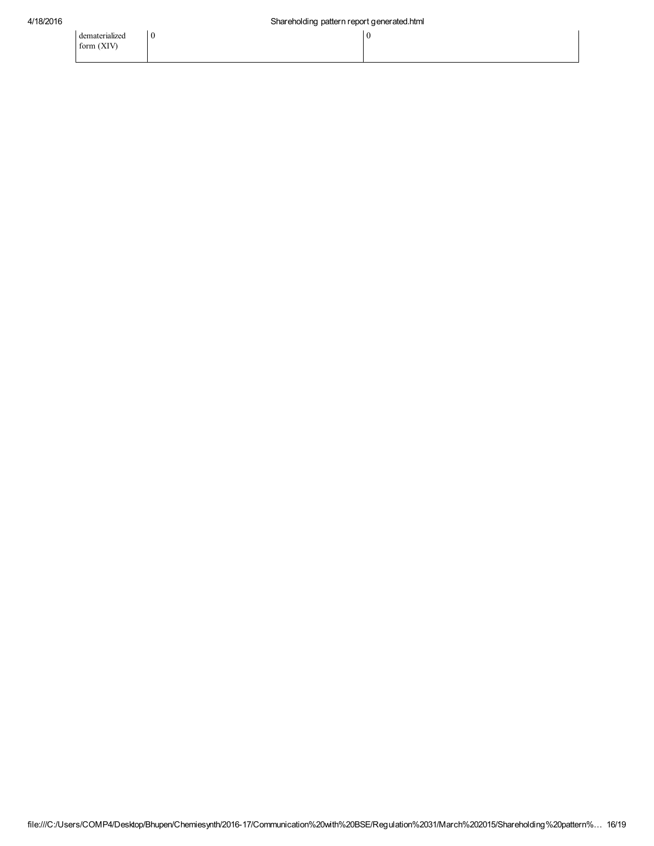0 0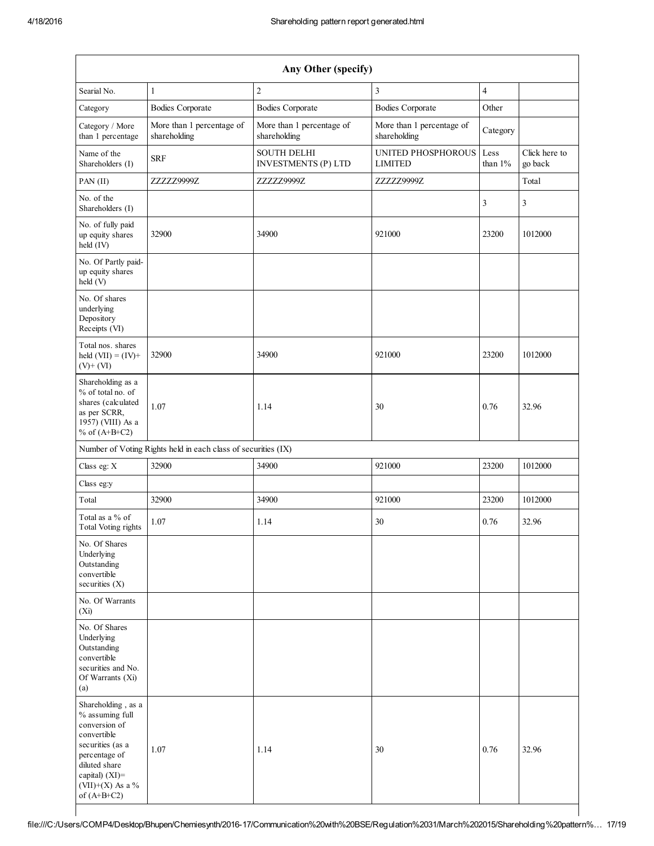| Any Other (specify)                                                                                                                                                                  |                                                               |                                                  |                                           |                    |                          |  |
|--------------------------------------------------------------------------------------------------------------------------------------------------------------------------------------|---------------------------------------------------------------|--------------------------------------------------|-------------------------------------------|--------------------|--------------------------|--|
| Searial No.                                                                                                                                                                          | 1                                                             | $\overline{c}$                                   | $\overline{\mathbf{3}}$                   | $\overline{4}$     |                          |  |
| Category                                                                                                                                                                             | <b>Bodies Corporate</b>                                       | <b>Bodies Corporate</b>                          | <b>Bodies Corporate</b>                   | Other              |                          |  |
| Category / More<br>than 1 percentage                                                                                                                                                 | More than 1 percentage of<br>shareholding                     | More than 1 percentage of<br>shareholding        | More than 1 percentage of<br>shareholding | Category           |                          |  |
| Name of the<br>Shareholders (I)                                                                                                                                                      | <b>SRF</b>                                                    | <b>SOUTH DELHI</b><br><b>INVESTMENTS (P) LTD</b> | UNITED PHOSPHOROUS<br><b>LIMITED</b>      | Less<br>than $1\%$ | Click here to<br>go back |  |
| PAN (II)                                                                                                                                                                             | ZZZZZ9999Z                                                    | ZZZZZ9999Z                                       | ZZZZZ9999Z                                |                    | Total                    |  |
| No. of the<br>Shareholders (I)                                                                                                                                                       |                                                               |                                                  |                                           | 3                  | 3                        |  |
| No. of fully paid<br>up equity shares<br>held (IV)                                                                                                                                   | 32900                                                         | 34900                                            | 921000                                    | 23200              | 1012000                  |  |
| No. Of Partly paid-<br>up equity shares<br>held (V)                                                                                                                                  |                                                               |                                                  |                                           |                    |                          |  |
| No. Of shares<br>underlying<br>Depository<br>Receipts (VI)                                                                                                                           |                                                               |                                                  |                                           |                    |                          |  |
| Total nos. shares<br>held $(VII) = (IV) +$<br>$(V)+(VI)$                                                                                                                             | 32900                                                         | 34900                                            | 921000                                    | 23200              | 1012000                  |  |
| Shareholding as a<br>% of total no. of<br>shares (calculated<br>as per SCRR,<br>1957) (VIII) As a<br>% of $(A+B+C2)$                                                                 | 1.07                                                          | 1.14                                             | 30                                        | 0.76               | 32.96                    |  |
|                                                                                                                                                                                      | Number of Voting Rights held in each class of securities (IX) |                                                  |                                           |                    |                          |  |
| Class eg: X                                                                                                                                                                          | 32900                                                         | 34900                                            | 921000                                    | 23200              | 1012000                  |  |
| Class eg:y                                                                                                                                                                           |                                                               |                                                  |                                           |                    |                          |  |
| Total                                                                                                                                                                                | 32900                                                         | 34900                                            | 921000                                    | 23200              | 1012000                  |  |
| Total as a % of<br>Total Voting rights                                                                                                                                               | 1.07                                                          | 1.14                                             | 30                                        | 0.76               | 32.96                    |  |
| No. Of Shares<br>Underlying<br>Outstanding<br>convertible<br>securities $(X)$                                                                                                        |                                                               |                                                  |                                           |                    |                          |  |
| No. Of Warrants<br>(X <sub>i</sub> )                                                                                                                                                 |                                                               |                                                  |                                           |                    |                          |  |
| No. Of Shares<br>Underlying<br>Outstanding<br>convertible<br>securities and No.<br>Of Warrants (Xi)<br>(a)                                                                           |                                                               |                                                  |                                           |                    |                          |  |
| Shareholding, as a<br>% assuming full<br>conversion of<br>convertible<br>securities (as a<br>percentage of<br>diluted share<br>capital) (XI)=<br>$(VII)+(X)$ As a %<br>of $(A+B+C2)$ | 1.07                                                          | 1.14                                             | 30                                        | 0.76               | 32.96                    |  |